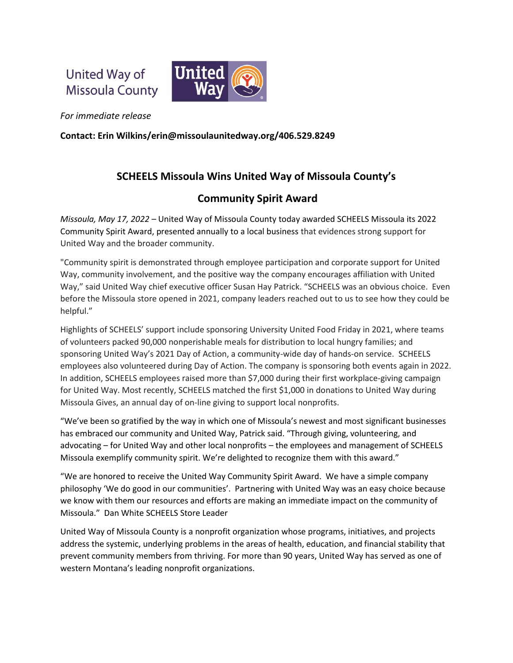United Way of **Missoula County** 



*For immediate release*

**Contact: Erin Wilkins/erin@missoulaunitedway.org/406.529.8249**

## **SCHEELS Missoula Wins United Way of Missoula County's**

## **Community Spirit Award**

*Missoula, May 17, 2022* – United Way of Missoula County today awarded SCHEELS Missoula its 2022 Community Spirit Award, presented annually to a local business that evidences strong support for United Way and the broader community.

"Community spirit is demonstrated through employee participation and corporate support for United Way, community involvement, and the positive way the company encourages affiliation with United Way," said United Way chief executive officer Susan Hay Patrick. "SCHEELS was an obvious choice. Even before the Missoula store opened in 2021, company leaders reached out to us to see how they could be helpful."

Highlights of SCHEELS' support include sponsoring University United Food Friday in 2021, where teams of volunteers packed 90,000 nonperishable meals for distribution to local hungry families; and sponsoring United Way's 2021 Day of Action, a community-wide day of hands-on service. SCHEELS employees also volunteered during Day of Action. The company is sponsoring both events again in 2022. In addition, SCHEELS employees raised more than \$7,000 during their first workplace-giving campaign for United Way. Most recently, SCHEELS matched the first \$1,000 in donations to United Way during Missoula Gives, an annual day of on-line giving to support local nonprofits.

"We've been so gratified by the way in which one of Missoula's newest and most significant businesses has embraced our community and United Way, Patrick said. "Through giving, volunteering, and advocating – for United Way and other local nonprofits – the employees and management of SCHEELS Missoula exemplify community spirit. We're delighted to recognize them with this award."

"We are honored to receive the United Way Community Spirit Award. We have a simple company philosophy 'We do good in our communities'. Partnering with United Way was an easy choice because we know with them our resources and efforts are making an immediate impact on the community of Missoula." Dan White SCHEELS Store Leader

United Way of Missoula County is a nonprofit organization whose programs, initiatives, and projects address the systemic, underlying problems in the areas of health, education, and financial stability that prevent community members from thriving. For more than 90 years, United Way has served as one of western Montana's leading nonprofit organizations.